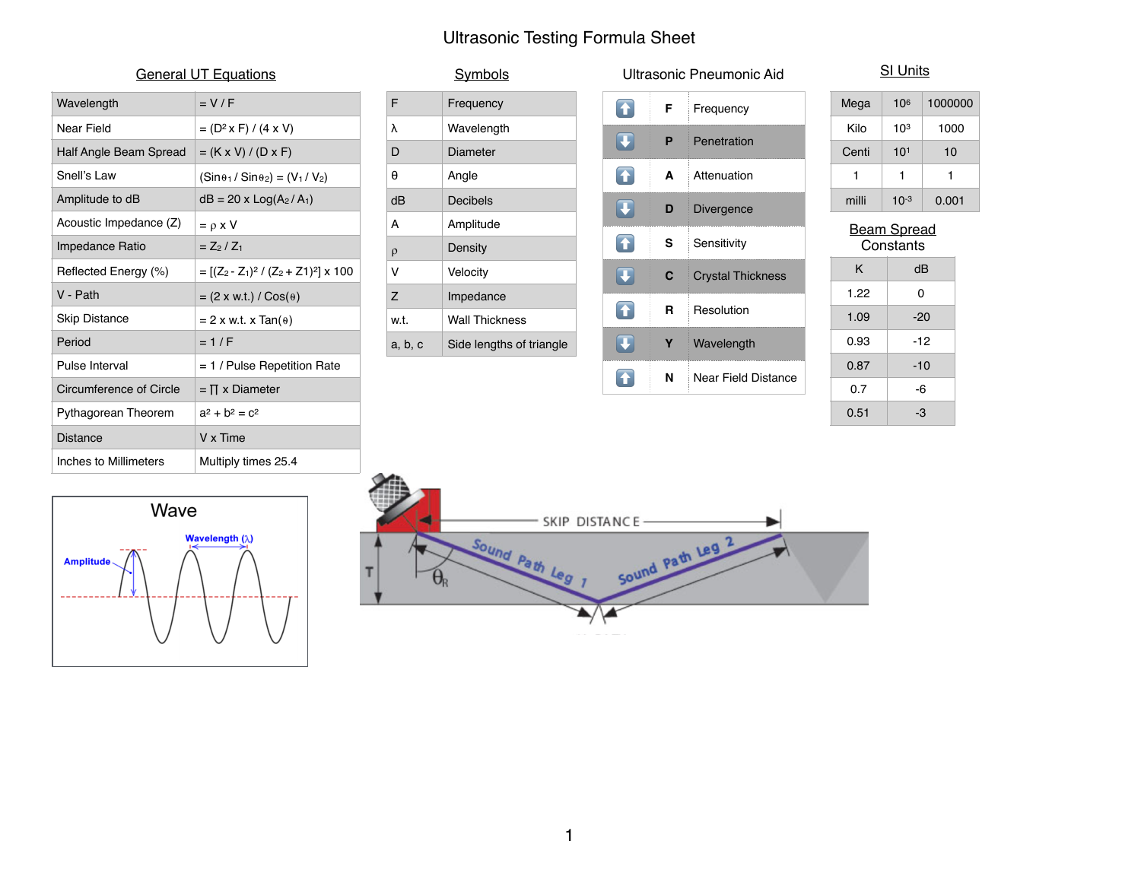## Ultrasonic Testing Formula Sheet

|  | <b>General UT Equations</b> |
|--|-----------------------------|
|  |                             |

| Wavelength              | $= V/F$                                        |
|-------------------------|------------------------------------------------|
| Near Field              | $= (D^2 \times F) / (4 \times V)$              |
| Half Angle Beam Spread  | $= (K \times V) / (D \times F)$                |
| Snell's Law             | $(Sin\theta_1/Sin\theta_2) = (V_1/V_2)$        |
| Amplitude to dB         | $dB = 20 \times Log(A_2/A_1)$                  |
| Acoustic Impedance (Z)  | $= \rho x V$                                   |
| Impedance Ratio         | $= Z_2 / Z_1$                                  |
| Reflected Energy (%)    | $= [(Z_2 - Z_1)^2 / (Z_2 + Z_1)^2] \times 100$ |
| V - Path                | $= (2 \times w.t.) / \cos(\theta)$             |
| <b>Skip Distance</b>    | $= 2$ x w.t. x Tan( $\theta$ )                 |
| Period                  | $=1/F$                                         |
| Pulse Interval          | $= 1$ / Pulse Repetition Rate                  |
| Circumference of Circle | $=$ $\Pi$ x Diameter                           |
| Pythagorean Theorem     | $a^2 + b^2 = c^2$                              |
| Distance                | V x Time                                       |
| Inches to Millimeters   | Multiply times 25.4                            |

| Symbols |                          |  |  |  |
|---------|--------------------------|--|--|--|
| F       | Frequency                |  |  |  |
| λ       | Wavelength               |  |  |  |
| D       | Diameter                 |  |  |  |
| A       | Angle                    |  |  |  |
| dB      | Decibels                 |  |  |  |
| A       | Amplitude                |  |  |  |
| $\rho$  | Density                  |  |  |  |
| v       | Velocity                 |  |  |  |
| Z       | Impedance                |  |  |  |
| w.t.    | <b>Wall Thickness</b>    |  |  |  |
| a, b, c | Side lengths of triangle |  |  |  |

| Ultrasonic Pneumonic Aid                           |   |                            |  |  |  |
|----------------------------------------------------|---|----------------------------|--|--|--|
| <b>F</b>                                           | F | Frequency                  |  |  |  |
| $\begin{array}{ c } \hline \textbf{L} \end{array}$ | Р | Penetration                |  |  |  |
| $\bigodot$                                         | A | Attenuation                |  |  |  |
| $\left  \mathbf{T} \right $                        | D | Divergence                 |  |  |  |
| Ŧ                                                  | S | Sensitivity                |  |  |  |
| $\boxed{\textcolor{red}{\textbf{t}}}$              | C | <b>Crystal Thickness</b>   |  |  |  |
| $\left  \mathbf{T} \right $                        | R | Resolution                 |  |  |  |
| $\mathbf T$                                        | Υ | Wavelength                 |  |  |  |
|                                                    | N | <b>Near Field Distance</b> |  |  |  |

| <b>SI Units</b> |                 |         |  |  |  |  |
|-----------------|-----------------|---------|--|--|--|--|
| Mega            | 10 <sup>6</sup> | 1000000 |  |  |  |  |
| Kilo            | $10^{3}$        | 1000    |  |  |  |  |
| Centi           | 10 <sup>1</sup> | 10      |  |  |  |  |
| 1               | 1               | 1       |  |  |  |  |
| milli           | $10^{-3}$       | 0.001   |  |  |  |  |
|                 |                 |         |  |  |  |  |

Beam Spread <u>Constants</u> K dB

 $1.22$  0

 $1.09$   $-20$  $0.93$   $-12$ 

 $0.87$  -10  $0.7$  -6

 $0.51$  -3

## Wave Wavelength  $(\lambda)$ **Amplitude**